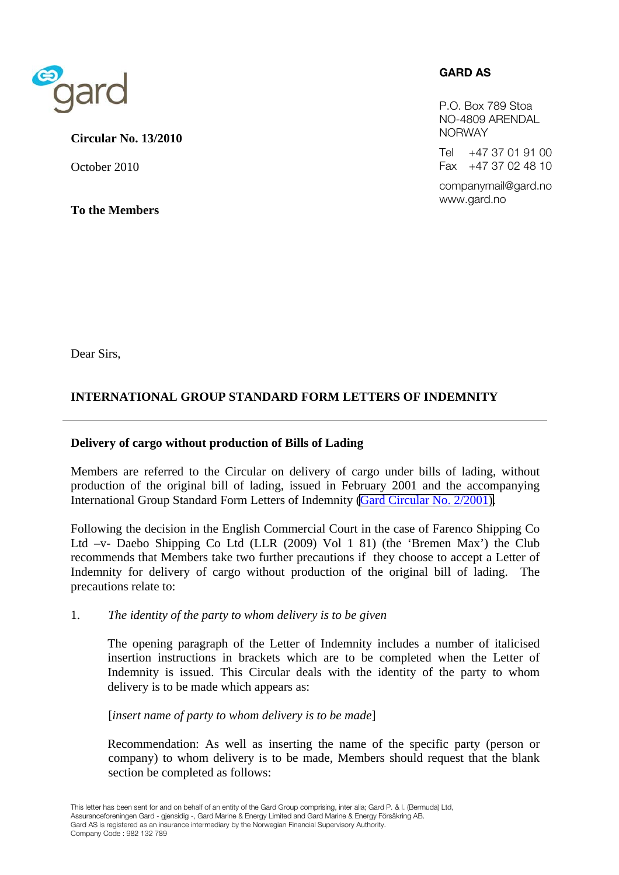

## **Circular No. 13/2010**

October 2010

**To the Members** 

## **GARD AS**

P.O. Box 789 Stoa NO-4809 ARENDAL NORWAY

Tel +47 37 01 91 00 Fax +47 37 02 48 10

companymail@gard.no www.gard.no

Dear Sirs,

# **INTERNATIONAL GROUP STANDARD FORM LETTERS OF INDEMNITY**

## **Delivery of cargo without production of Bills of Lading**

Members are referred to the Circular on delivery of cargo under bills of lading, without production of the original bill of lading, issued in February 2001 and the accompanying International Group Standard Form Letters of Indemnity [\(Gard Circular No. 2/2001\).](http://www.gard.no/ikbViewer/page/sharing-knowledge/circular?p_document_id=4162728)

Following the decision in the English Commercial Court in the case of Farenco Shipping Co Ltd –v- Daebo Shipping Co Ltd (LLR (2009) Vol 1 81) (the 'Bremen Max') the Club recommends that Members take two further precautions if they choose to accept a Letter of Indemnity for delivery of cargo without production of the original bill of lading. The precautions relate to:

1. *The identity of the party to whom delivery is to be given* 

 The opening paragraph of the Letter of Indemnity includes a number of italicised insertion instructions in brackets which are to be completed when the Letter of Indemnity is issued. This Circular deals with the identity of the party to whom delivery is to be made which appears as:

[*insert name of party to whom delivery is to be made*]

 Recommendation: As well as inserting the name of the specific party (person or company) to whom delivery is to be made, Members should request that the blank section be completed as follows: